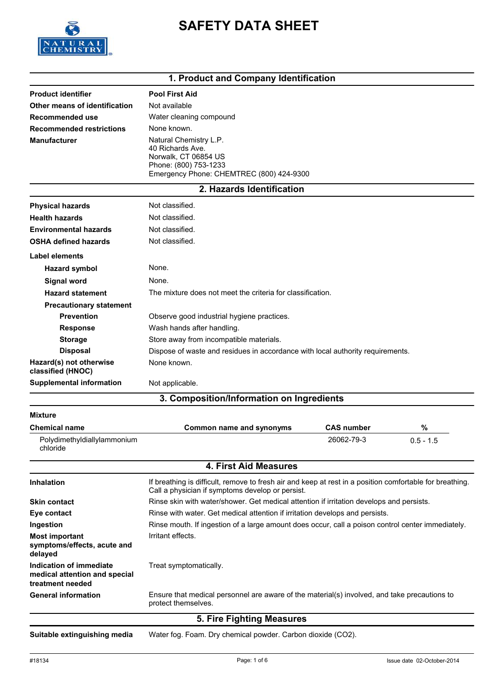

# **SAFETY DATA SHEET**

### **1. Product and Company Identification**

|                                              | 1. Product and Company Identification                                                                                                   |                   |             |  |
|----------------------------------------------|-----------------------------------------------------------------------------------------------------------------------------------------|-------------------|-------------|--|
| <b>Product identifier</b>                    | <b>Pool First Aid</b>                                                                                                                   |                   |             |  |
| Other means of identification                | Not available                                                                                                                           |                   |             |  |
| Recommended use                              | Water cleaning compound                                                                                                                 |                   |             |  |
| <b>Recommended restrictions</b>              | None known.                                                                                                                             |                   |             |  |
| <b>Manufacturer</b>                          | Natural Chemistry L.P.<br>40 Richards Ave.<br>Norwalk, CT 06854 US<br>Phone: (800) 753-1233<br>Emergency Phone: CHEMTREC (800) 424-9300 |                   |             |  |
|                                              | 2. Hazards Identification                                                                                                               |                   |             |  |
| <b>Physical hazards</b>                      | Not classified.                                                                                                                         |                   |             |  |
| <b>Health hazards</b>                        | Not classified.                                                                                                                         |                   |             |  |
| <b>Environmental hazards</b>                 | Not classified.                                                                                                                         |                   |             |  |
| <b>OSHA defined hazards</b>                  | Not classified.                                                                                                                         |                   |             |  |
| Label elements                               |                                                                                                                                         |                   |             |  |
| <b>Hazard symbol</b>                         | None.                                                                                                                                   |                   |             |  |
| Signal word                                  | None.                                                                                                                                   |                   |             |  |
| <b>Hazard statement</b>                      | The mixture does not meet the criteria for classification.                                                                              |                   |             |  |
| <b>Precautionary statement</b>               |                                                                                                                                         |                   |             |  |
| <b>Prevention</b>                            | Observe good industrial hygiene practices.                                                                                              |                   |             |  |
| <b>Response</b>                              | Wash hands after handling.                                                                                                              |                   |             |  |
| <b>Storage</b>                               | Store away from incompatible materials.                                                                                                 |                   |             |  |
| <b>Disposal</b>                              | Dispose of waste and residues in accordance with local authority requirements.                                                          |                   |             |  |
| Hazard(s) not otherwise<br>classified (HNOC) | None known.                                                                                                                             |                   |             |  |
| <b>Supplemental information</b>              | Not applicable.                                                                                                                         |                   |             |  |
|                                              | 3. Composition/Information on Ingredients                                                                                               |                   |             |  |
| <b>Mixture</b>                               |                                                                                                                                         |                   |             |  |
| <b>Chemical name</b>                         | <b>Common name and synonyms</b>                                                                                                         | <b>CAS number</b> | $\%$        |  |
| Polydimethyldiallylammonium<br>chloride      |                                                                                                                                         | 26062-79-3        | $0.5 - 1.5$ |  |
|                                              | <b>4. First Aid Measures</b>                                                                                                            |                   |             |  |
|                                              |                                                                                                                                         |                   |             |  |

| 5. Fire Fighting Measures                                                    |                                                                                                                                                              |  |
|------------------------------------------------------------------------------|--------------------------------------------------------------------------------------------------------------------------------------------------------------|--|
| <b>General information</b>                                                   | Ensure that medical personnel are aware of the material(s) involved, and take precautions to<br>protect themselves.                                          |  |
| Indication of immediate<br>medical attention and special<br>treatment needed | Treat symptomatically.                                                                                                                                       |  |
| <b>Most important</b><br>symptoms/effects, acute and<br>delayed              | Irritant effects.                                                                                                                                            |  |
| Ingestion                                                                    | Rinse mouth. If ingestion of a large amount does occur, call a poison control center immediately.                                                            |  |
| Eye contact                                                                  | Rinse with water. Get medical attention if irritation develops and persists.                                                                                 |  |
| <b>Skin contact</b>                                                          | Rinse skin with water/shower. Get medical attention if irritation develops and persists.                                                                     |  |
| <b>Inhalation</b>                                                            | If breathing is difficult, remove to fresh air and keep at rest in a position comfortable for breathing.<br>Call a physician if symptoms develop or persist. |  |

**Suitable extinguishing media** Water fog. Foam. Dry chemical powder. Carbon dioxide (CO2).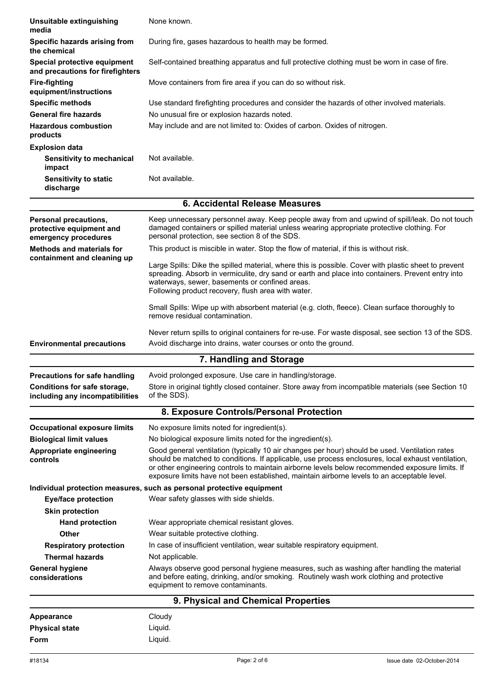| Unsuitable extinguishing<br>media                                         | None known.                                                                                                                                                                                                                                                                                                                                                                                            |
|---------------------------------------------------------------------------|--------------------------------------------------------------------------------------------------------------------------------------------------------------------------------------------------------------------------------------------------------------------------------------------------------------------------------------------------------------------------------------------------------|
| Specific hazards arising from<br>the chemical                             | During fire, gases hazardous to health may be formed.                                                                                                                                                                                                                                                                                                                                                  |
| Special protective equipment<br>and precautions for firefighters          | Self-contained breathing apparatus and full protective clothing must be worn in case of fire.                                                                                                                                                                                                                                                                                                          |
| <b>Fire-fighting</b><br>equipment/instructions                            | Move containers from fire area if you can do so without risk.                                                                                                                                                                                                                                                                                                                                          |
| <b>Specific methods</b>                                                   | Use standard firefighting procedures and consider the hazards of other involved materials.                                                                                                                                                                                                                                                                                                             |
| <b>General fire hazards</b>                                               | No unusual fire or explosion hazards noted.                                                                                                                                                                                                                                                                                                                                                            |
| <b>Hazardous combustion</b><br>products                                   | May include and are not limited to: Oxides of carbon. Oxides of nitrogen.                                                                                                                                                                                                                                                                                                                              |
| <b>Explosion data</b>                                                     |                                                                                                                                                                                                                                                                                                                                                                                                        |
| Sensitivity to mechanical<br>impact                                       | Not available.                                                                                                                                                                                                                                                                                                                                                                                         |
| <b>Sensitivity to static</b><br>discharge                                 | Not available.                                                                                                                                                                                                                                                                                                                                                                                         |
|                                                                           | 6. Accidental Release Measures                                                                                                                                                                                                                                                                                                                                                                         |
| Personal precautions,<br>protective equipment and<br>emergency procedures | Keep unnecessary personnel away. Keep people away from and upwind of spill/leak. Do not touch<br>damaged containers or spilled material unless wearing appropriate protective clothing. For<br>personal protection, see section 8 of the SDS.                                                                                                                                                          |
| <b>Methods and materials for</b><br>containment and cleaning up           | This product is miscible in water. Stop the flow of material, if this is without risk.                                                                                                                                                                                                                                                                                                                 |
|                                                                           | Large Spills: Dike the spilled material, where this is possible. Cover with plastic sheet to prevent<br>spreading. Absorb in vermiculite, dry sand or earth and place into containers. Prevent entry into<br>waterways, sewer, basements or confined areas.<br>Following product recovery, flush area with water.                                                                                      |
|                                                                           | Small Spills: Wipe up with absorbent material (e.g. cloth, fleece). Clean surface thoroughly to<br>remove residual contamination.                                                                                                                                                                                                                                                                      |
|                                                                           | Never return spills to original containers for re-use. For waste disposal, see section 13 of the SDS.                                                                                                                                                                                                                                                                                                  |
| <b>Environmental precautions</b>                                          | Avoid discharge into drains, water courses or onto the ground.                                                                                                                                                                                                                                                                                                                                         |
|                                                                           | 7. Handling and Storage                                                                                                                                                                                                                                                                                                                                                                                |
| <b>Precautions for safe handling</b>                                      | Avoid prolonged exposure. Use care in handling/storage.                                                                                                                                                                                                                                                                                                                                                |
| <b>Conditions for safe storage,</b><br>including any incompatibilities    | Store in original tightly closed container. Store away from incompatible materials (see Section 10<br>of the SDS).                                                                                                                                                                                                                                                                                     |
|                                                                           | 8. Exposure Controls/Personal Protection                                                                                                                                                                                                                                                                                                                                                               |
| <b>Occupational exposure limits</b>                                       | No exposure limits noted for ingredient(s).                                                                                                                                                                                                                                                                                                                                                            |
| <b>Biological limit values</b>                                            | No biological exposure limits noted for the ingredient(s).                                                                                                                                                                                                                                                                                                                                             |
| Appropriate engineering<br>controls                                       | Good general ventilation (typically 10 air changes per hour) should be used. Ventilation rates<br>should be matched to conditions. If applicable, use process enclosures, local exhaust ventilation,<br>or other engineering controls to maintain airborne levels below recommended exposure limits. If<br>exposure limits have not been established, maintain airborne levels to an acceptable level. |
|                                                                           | Individual protection measures, such as personal protective equipment                                                                                                                                                                                                                                                                                                                                  |
| <b>Eye/face protection</b>                                                | Wear safety glasses with side shields.                                                                                                                                                                                                                                                                                                                                                                 |
| <b>Skin protection</b>                                                    |                                                                                                                                                                                                                                                                                                                                                                                                        |
| <b>Hand protection</b>                                                    | Wear appropriate chemical resistant gloves.                                                                                                                                                                                                                                                                                                                                                            |
| Other                                                                     | Wear suitable protective clothing.                                                                                                                                                                                                                                                                                                                                                                     |
| <b>Respiratory protection</b>                                             | In case of insufficient ventilation, wear suitable respiratory equipment.                                                                                                                                                                                                                                                                                                                              |
| Thermal hazards                                                           | Not applicable.                                                                                                                                                                                                                                                                                                                                                                                        |
| <b>General hygiene</b><br>considerations                                  | Always observe good personal hygiene measures, such as washing after handling the material<br>and before eating, drinking, and/or smoking. Routinely wash work clothing and protective<br>equipment to remove contaminants.                                                                                                                                                                            |
|                                                                           | 9. Physical and Chemical Properties                                                                                                                                                                                                                                                                                                                                                                    |
| <b>Appearance</b>                                                         | Cloudy                                                                                                                                                                                                                                                                                                                                                                                                 |
| <b>Physical state</b>                                                     | Liquid.                                                                                                                                                                                                                                                                                                                                                                                                |
| Form                                                                      | Liquid.                                                                                                                                                                                                                                                                                                                                                                                                |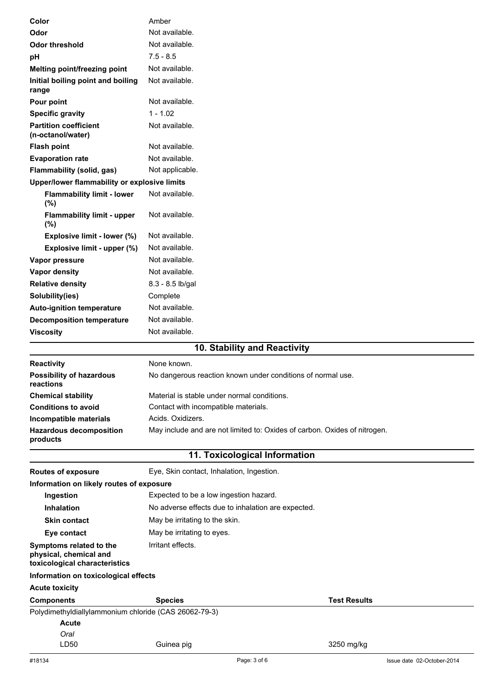| Color                                                   | Amber                                                                     |                     |
|---------------------------------------------------------|---------------------------------------------------------------------------|---------------------|
| Odor                                                    | Not available.                                                            |                     |
| <b>Odor threshold</b>                                   | Not available.                                                            |                     |
| рH                                                      | $7.5 - 8.5$                                                               |                     |
| Melting point/freezing point                            | Not available.                                                            |                     |
| Initial boiling point and boiling<br>range              | Not available.                                                            |                     |
| Pour point                                              | Not available.                                                            |                     |
| <b>Specific gravity</b>                                 | $1 - 1.02$                                                                |                     |
| <b>Partition coefficient</b><br>(n-octanol/water)       | Not available.                                                            |                     |
| <b>Flash point</b>                                      | Not available.                                                            |                     |
| <b>Evaporation rate</b>                                 | Not available.                                                            |                     |
| Flammability (solid, gas)                               | Not applicable.                                                           |                     |
| Upper/lower flammability or explosive limits            |                                                                           |                     |
| <b>Flammability limit - lower</b><br>(%)                | Not available.                                                            |                     |
| <b>Flammability limit - upper</b><br>$(\%)$             | Not available.                                                            |                     |
| Explosive limit - lower (%)                             | Not available.                                                            |                     |
| Explosive limit - upper (%)                             | Not available.                                                            |                     |
| Vapor pressure                                          | Not available.                                                            |                     |
| Vapor density                                           | Not available.                                                            |                     |
| <b>Relative density</b>                                 | 8.3 - 8.5 lb/gal                                                          |                     |
| Solubility(ies)                                         | Complete                                                                  |                     |
| <b>Auto-ignition temperature</b>                        | Not available.                                                            |                     |
| <b>Decomposition temperature</b>                        | Not available.                                                            |                     |
| <b>Viscosity</b>                                        | Not available.                                                            |                     |
|                                                         | 10. Stability and Reactivity                                              |                     |
|                                                         |                                                                           |                     |
| Reactivity                                              | None known.                                                               |                     |
| <b>Possibility of hazardous</b><br>reactions            | No dangerous reaction known under conditions of normal use.               |                     |
| <b>Chemical stability</b>                               | Material is stable under normal conditions.                               |                     |
| <b>Conditions to avoid</b>                              | Contact with incompatible materials.                                      |                     |
| Incompatible materials                                  | Acids. Oxidizers.                                                         |                     |
| <b>Hazardous decomposition</b><br>products              | May include and are not limited to: Oxides of carbon. Oxides of nitrogen. |                     |
|                                                         | 11. Toxicological Information                                             |                     |
| <b>Routes of exposure</b>                               | Eye, Skin contact, Inhalation, Ingestion.                                 |                     |
| Information on likely routes of exposure                |                                                                           |                     |
| Ingestion                                               | Expected to be a low ingestion hazard.                                    |                     |
| <b>Inhalation</b>                                       | No adverse effects due to inhalation are expected.                        |                     |
| <b>Skin contact</b>                                     | May be irritating to the skin.                                            |                     |
| Eye contact                                             | May be irritating to eyes.                                                |                     |
| Symptoms related to the                                 | Irritant effects.                                                         |                     |
| physical, chemical and<br>toxicological characteristics |                                                                           |                     |
| Information on toxicological effects                    |                                                                           |                     |
| <b>Acute toxicity</b>                                   |                                                                           |                     |
| <b>Components</b>                                       | <b>Species</b>                                                            | <b>Test Results</b> |
| Polydimethyldiallylammonium chloride (CAS 26062-79-3)   |                                                                           |                     |
| <b>Acute</b>                                            |                                                                           |                     |
| Oral                                                    |                                                                           |                     |
| LD50                                                    | Guinea pig                                                                | 3250 mg/kg          |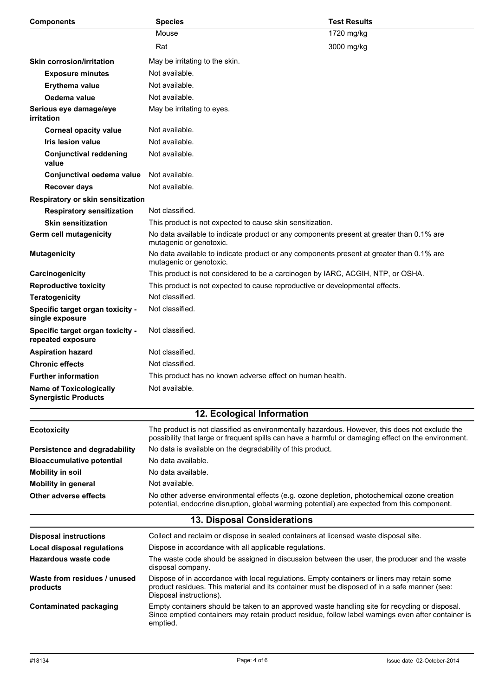| <b>Components</b>                                             | <b>Species</b>                                                                                                                                                                                                         | <b>Test Results</b> |
|---------------------------------------------------------------|------------------------------------------------------------------------------------------------------------------------------------------------------------------------------------------------------------------------|---------------------|
|                                                               | Mouse                                                                                                                                                                                                                  | 1720 mg/kg          |
|                                                               | Rat                                                                                                                                                                                                                    | 3000 mg/kg          |
| <b>Skin corrosion/irritation</b>                              | May be irritating to the skin.                                                                                                                                                                                         |                     |
| <b>Exposure minutes</b>                                       | Not available.                                                                                                                                                                                                         |                     |
| Erythema value                                                | Not available.                                                                                                                                                                                                         |                     |
| Oedema value                                                  | Not available.                                                                                                                                                                                                         |                     |
| Serious eye damage/eye<br>irritation                          | May be irritating to eyes.                                                                                                                                                                                             |                     |
| <b>Corneal opacity value</b>                                  | Not available.                                                                                                                                                                                                         |                     |
| <b>Iris lesion value</b>                                      | Not available.                                                                                                                                                                                                         |                     |
| <b>Conjunctival reddening</b><br>value                        | Not available.                                                                                                                                                                                                         |                     |
| Conjunctival oedema value                                     | Not available.                                                                                                                                                                                                         |                     |
| <b>Recover days</b>                                           | Not available.                                                                                                                                                                                                         |                     |
| Respiratory or skin sensitization                             |                                                                                                                                                                                                                        |                     |
| <b>Respiratory sensitization</b>                              | Not classified.                                                                                                                                                                                                        |                     |
| <b>Skin sensitization</b>                                     | This product is not expected to cause skin sensitization.                                                                                                                                                              |                     |
| Germ cell mutagenicity                                        | No data available to indicate product or any components present at greater than 0.1% are<br>mutagenic or genotoxic.                                                                                                    |                     |
| <b>Mutagenicity</b>                                           | No data available to indicate product or any components present at greater than 0.1% are<br>mutagenic or genotoxic.                                                                                                    |                     |
| Carcinogenicity                                               | This product is not considered to be a carcinogen by IARC, ACGIH, NTP, or OSHA.                                                                                                                                        |                     |
| <b>Reproductive toxicity</b>                                  | This product is not expected to cause reproductive or developmental effects.                                                                                                                                           |                     |
| <b>Teratogenicity</b>                                         | Not classified.                                                                                                                                                                                                        |                     |
| Specific target organ toxicity -<br>single exposure           | Not classified.                                                                                                                                                                                                        |                     |
| Specific target organ toxicity -<br>repeated exposure         | Not classified.                                                                                                                                                                                                        |                     |
| <b>Aspiration hazard</b>                                      | Not classified.                                                                                                                                                                                                        |                     |
| <b>Chronic effects</b>                                        | Not classified.                                                                                                                                                                                                        |                     |
| <b>Further information</b>                                    | This product has no known adverse effect on human health.                                                                                                                                                              |                     |
| <b>Name of Toxicologically</b><br><b>Synergistic Products</b> | Not available.                                                                                                                                                                                                         |                     |
|                                                               | 12. Ecological Information                                                                                                                                                                                             |                     |
| <b>Ecotoxicity</b>                                            | The product is not classified as environmentally hazardous. However, this does not exclude the<br>possibility that large or frequent spills can have a harmful or damaging effect on the environment.                  |                     |
| Persistence and degradability                                 | No data is available on the degradability of this product.                                                                                                                                                             |                     |
| <b>Bioaccumulative potential</b>                              | No data available.                                                                                                                                                                                                     |                     |
| <b>Mobility in soil</b>                                       | No data available.                                                                                                                                                                                                     |                     |
| <b>Mobility in general</b>                                    | Not available.                                                                                                                                                                                                         |                     |
| <b>Other adverse effects</b>                                  | No other adverse environmental effects (e.g. ozone depletion, photochemical ozone creation<br>potential, endocrine disruption, global warming potential) are expected from this component.                             |                     |
|                                                               | 13. Disposal Considerations                                                                                                                                                                                            |                     |
| <b>Disposal instructions</b>                                  | Collect and reclaim or dispose in sealed containers at licensed waste disposal site.                                                                                                                                   |                     |
| Local disposal regulations                                    | Dispose in accordance with all applicable regulations.                                                                                                                                                                 |                     |
| Hazardous waste code                                          | The waste code should be assigned in discussion between the user, the producer and the waste<br>disposal company.                                                                                                      |                     |
| Waste from residues / unused<br>products                      | Dispose of in accordance with local regulations. Empty containers or liners may retain some<br>product residues. This material and its container must be disposed of in a safe manner (see:<br>Disposal instructions). |                     |
| <b>Contaminated packaging</b>                                 | Empty containers should be taken to an approved waste handling site for recycling or disposal.<br>Since emptied containers may retain product residue, follow label warnings even after container is<br>emptied.       |                     |
|                                                               |                                                                                                                                                                                                                        |                     |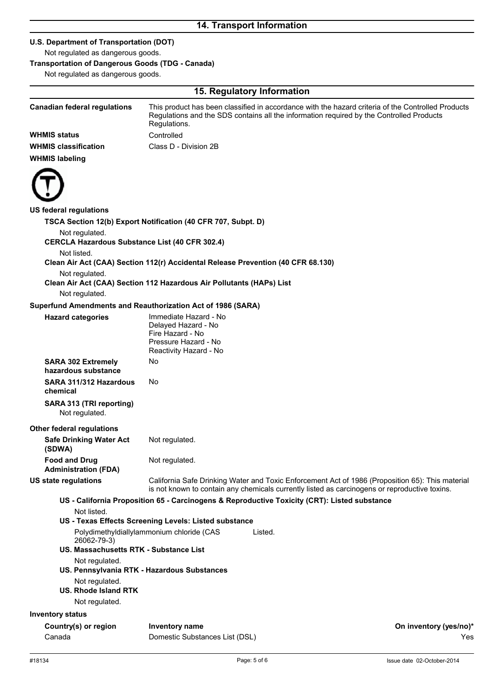### **U.S. Department of Transportation (DOT)**

Not regulated as dangerous goods.

## **Transportation of Dangerous Goods (TDG - Canada)**

Not regulated as dangerous goods.

|                                                                         | 15. Regulatory Information                                                                   |                                                                                                                                                                                                   |
|-------------------------------------------------------------------------|----------------------------------------------------------------------------------------------|---------------------------------------------------------------------------------------------------------------------------------------------------------------------------------------------------|
| <b>Canadian federal regulations</b>                                     | Regulations.                                                                                 | This product has been classified in accordance with the hazard criteria of the Controlled Products<br>Regulations and the SDS contains all the information required by the Controlled Products    |
| <b>WHMIS status</b>                                                     | Controlled                                                                                   |                                                                                                                                                                                                   |
| <b>WHMIS classification</b>                                             | Class D - Division 2B                                                                        |                                                                                                                                                                                                   |
| <b>WHMIS labeling</b>                                                   |                                                                                              |                                                                                                                                                                                                   |
|                                                                         |                                                                                              |                                                                                                                                                                                                   |
| <b>US federal regulations</b>                                           |                                                                                              |                                                                                                                                                                                                   |
|                                                                         | TSCA Section 12(b) Export Notification (40 CFR 707, Subpt. D)                                |                                                                                                                                                                                                   |
| Not regulated.<br><b>CERCLA Hazardous Substance List (40 CFR 302.4)</b> |                                                                                              |                                                                                                                                                                                                   |
| Not listed.                                                             |                                                                                              |                                                                                                                                                                                                   |
|                                                                         | Clean Air Act (CAA) Section 112(r) Accidental Release Prevention (40 CFR 68.130)             |                                                                                                                                                                                                   |
| Not regulated.                                                          | Clean Air Act (CAA) Section 112 Hazardous Air Pollutants (HAPs) List                         |                                                                                                                                                                                                   |
| Not regulated.                                                          |                                                                                              |                                                                                                                                                                                                   |
|                                                                         | Superfund Amendments and Reauthorization Act of 1986 (SARA)                                  |                                                                                                                                                                                                   |
| <b>Hazard categories</b>                                                | Immediate Hazard - No                                                                        |                                                                                                                                                                                                   |
|                                                                         | Delayed Hazard - No                                                                          |                                                                                                                                                                                                   |
|                                                                         | Fire Hazard - No<br>Pressure Hazard - No                                                     |                                                                                                                                                                                                   |
|                                                                         | Reactivity Hazard - No                                                                       |                                                                                                                                                                                                   |
| <b>SARA 302 Extremely</b><br>hazardous substance                        | No                                                                                           |                                                                                                                                                                                                   |
| SARA 311/312 Hazardous<br>chemical                                      | No.                                                                                          |                                                                                                                                                                                                   |
| SARA 313 (TRI reporting)<br>Not regulated.                              |                                                                                              |                                                                                                                                                                                                   |
| Other federal regulations                                               |                                                                                              |                                                                                                                                                                                                   |
| <b>Safe Drinking Water Act</b><br>(SDWA)                                | Not regulated.                                                                               |                                                                                                                                                                                                   |
| <b>Food and Drug</b><br><b>Administration (FDA)</b>                     | Not regulated.                                                                               |                                                                                                                                                                                                   |
| US state regulations                                                    |                                                                                              | California Safe Drinking Water and Toxic Enforcement Act of 1986 (Proposition 65): This material<br>is not known to contain any chemicals currently listed as carcinogens or reproductive toxins. |
|                                                                         | US - California Proposition 65 - Carcinogens & Reproductive Toxicity (CRT): Listed substance |                                                                                                                                                                                                   |
| Not listed.                                                             |                                                                                              |                                                                                                                                                                                                   |
|                                                                         | US - Texas Effects Screening Levels: Listed substance                                        |                                                                                                                                                                                                   |
| 26062-79-3)                                                             | Polydimethyldiallylammonium chloride (CAS<br>Listed.                                         |                                                                                                                                                                                                   |
| US. Massachusetts RTK - Substance List                                  |                                                                                              |                                                                                                                                                                                                   |
| Not regulated.                                                          | US. Pennsylvania RTK - Hazardous Substances                                                  |                                                                                                                                                                                                   |
| Not regulated.<br><b>US. Rhode Island RTK</b>                           |                                                                                              |                                                                                                                                                                                                   |
| Not regulated.                                                          |                                                                                              |                                                                                                                                                                                                   |
| <b>Inventory status</b>                                                 |                                                                                              |                                                                                                                                                                                                   |
|                                                                         |                                                                                              |                                                                                                                                                                                                   |
| Country(s) or region<br>Canada                                          | <b>Inventory name</b><br>Domestic Substances List (DSL)                                      | On inventory (yes/no)*<br>Yes                                                                                                                                                                     |
|                                                                         |                                                                                              |                                                                                                                                                                                                   |